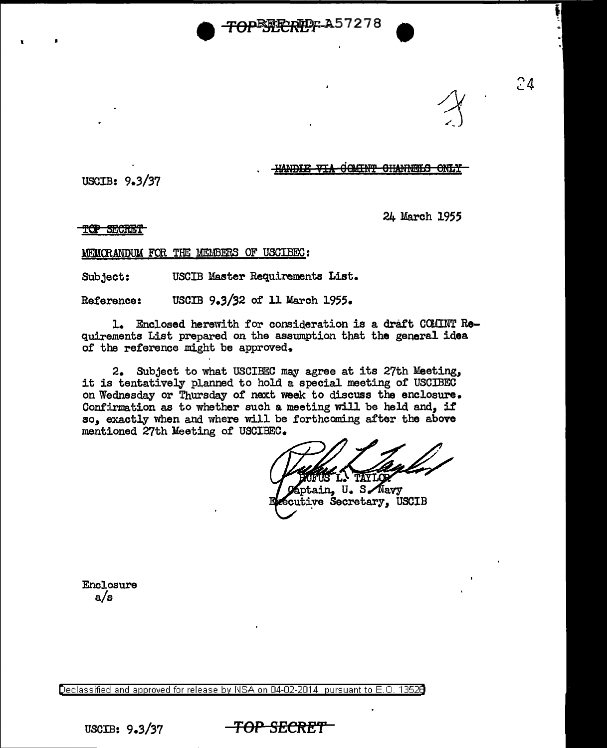**APE##E#Dr.A57278** 

GOMENT CHANNELS TANDIR VIA

USCIB: 9.3/37

 $\mathbf{r} = \mathbf{r}$ 

24 March 1955

24

**TOP SECRET** 

MElCCRANDUM FOR TIE MEMBERS OF USGIBEC:

Subject: USCIB Master Requirements List.

Reference: USCIB 9.3/32 of 11 March 1955.

1. Enclosed herewith for consideration is a draft COMINT Requirements List prepared on the asswnption that the general idea of the reference might be approved.

2. Subject to what USCIBEC may agree at its 27th Meeting, it is tentatively planned to hold a special meeting of USCIBEC on Wednesday or Thursday of next week to discuss the enclosure. Confirmation as to whether such a meeting will be held and, if so, exactly when and where will be forthcoming after the above mentioned 27th lleeting of USCIBEC.

TAYIO

aptain, U. S. Navy cutive Secretary, USCIB

**Enclosure** a/s

Declassified and approved for release by NSA on 04-02-2014 pursuant to E. 0. 1352B

USCIB: 9.3/37 **TOP SECRE'f**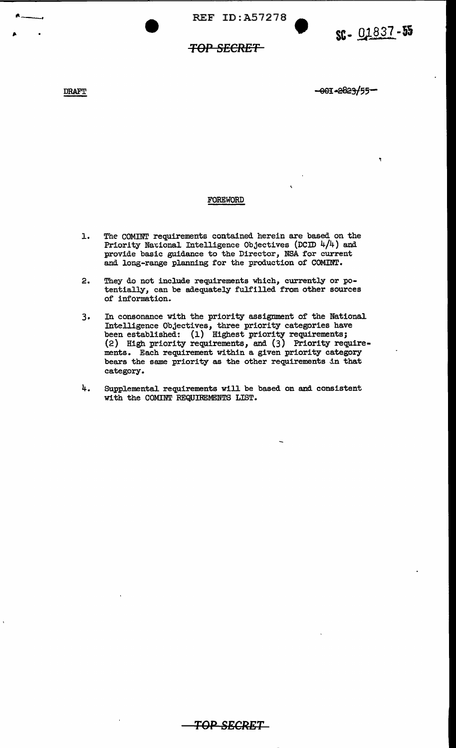REF ID:A57278 •

## **TOP SECRET**

DRAFT

----·

-001-2823/55-

## FOREWORD

- 1. The COMINT requirements contained herein are based on the Priority National Intelligence Objectives (DCID  $4/4$ ) and provide basic guidance to the Director, NSA for current and long-range planning for the production of COMINT.
- 2. They do not include requirements which, currently or potentially, can be adequately fulfilled from other sources of information.
- 3. In consonance with the priority assignment of the National Intelligence Objectives, three priority categories have been established: (1) Highest priority requirements; (2) High priority requirements, and (3) Priority requirements. Each requirement within a given priority category bears the same priority as the other requirements in that category.
- 4. Supplemental requirements will be based on and consistent with the COMINT REQUIREMENTS LIST.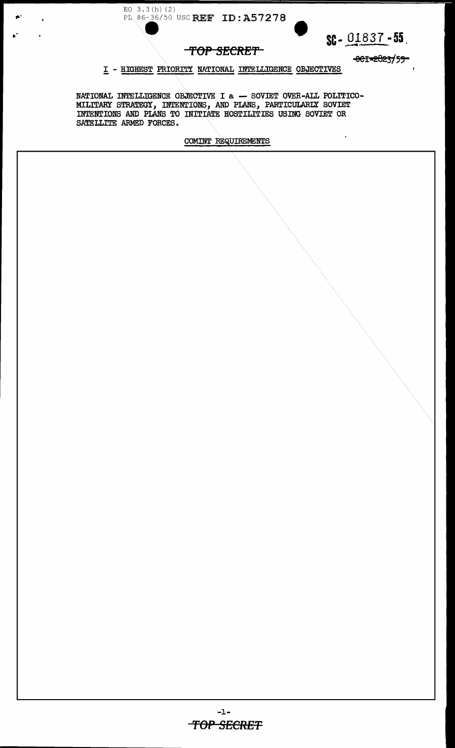



 $\overline{a}$ 

TOP SECRET

001-2023/55

 $\mathbf{r}$ 

I - HIGHEST PRIORITY NATIONAL INTELLIGENCE OBJECTIVES

NATIONAL INTELLIGENCE OBJECTIVE I a - SOVIET OVER-ALL POLITICO-MILITARY STRATEGY, INTENTIONS, AND PLANS, PARTICULARIX SOVIET INTENTIONS AND PLANS TO INITIATE HOSTILITIES USING SOVIET OR SATELLITE ARMED FORCES.

COMINT REQUIREMENTS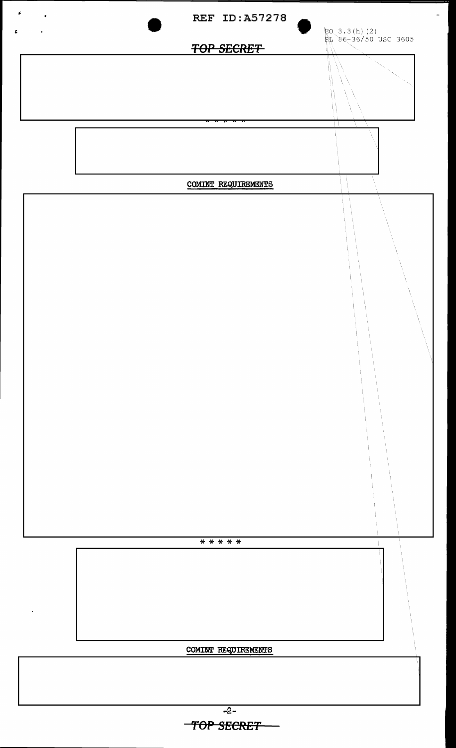

**'fOP SECRET**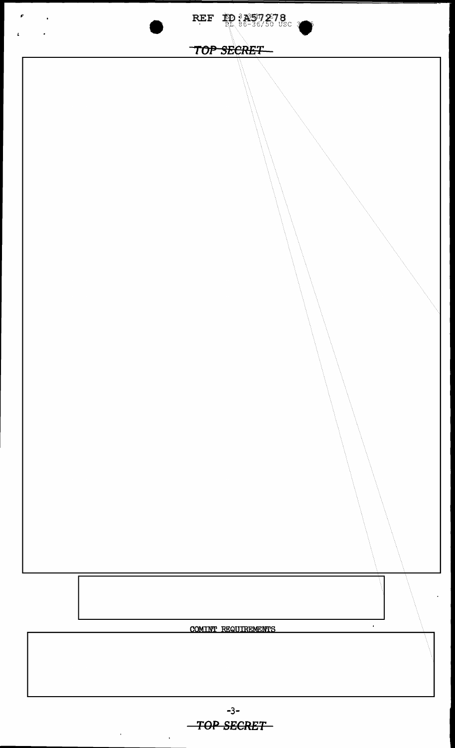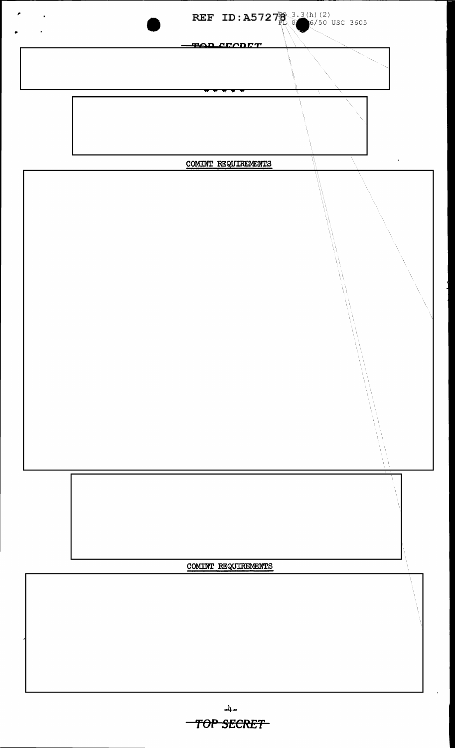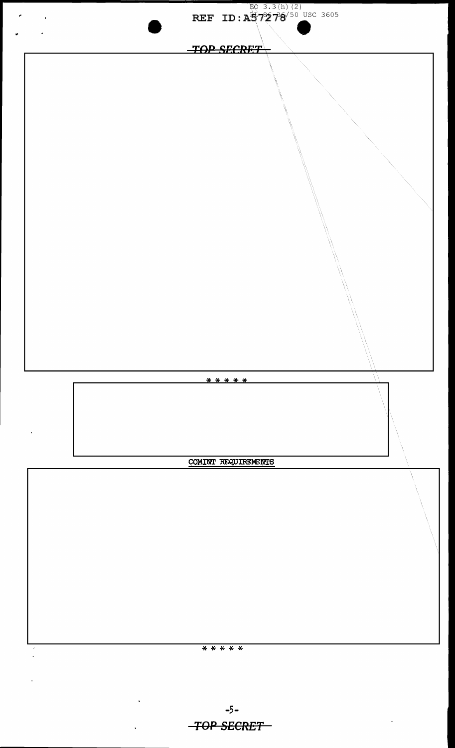

-5- *TOP SECRET*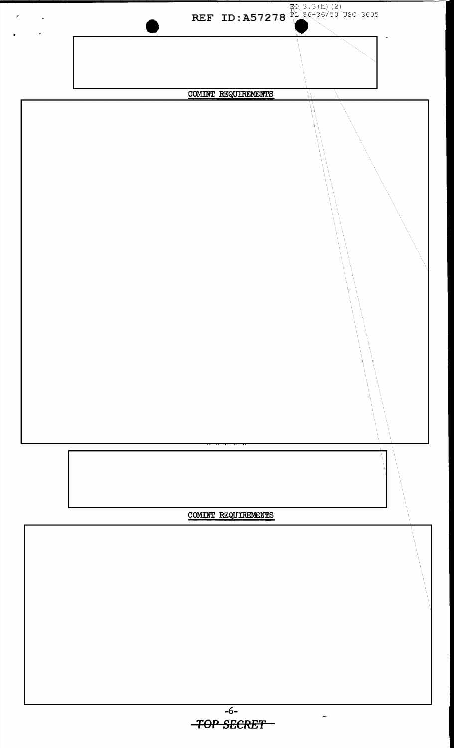

 $EQ$  3.3(h) (2)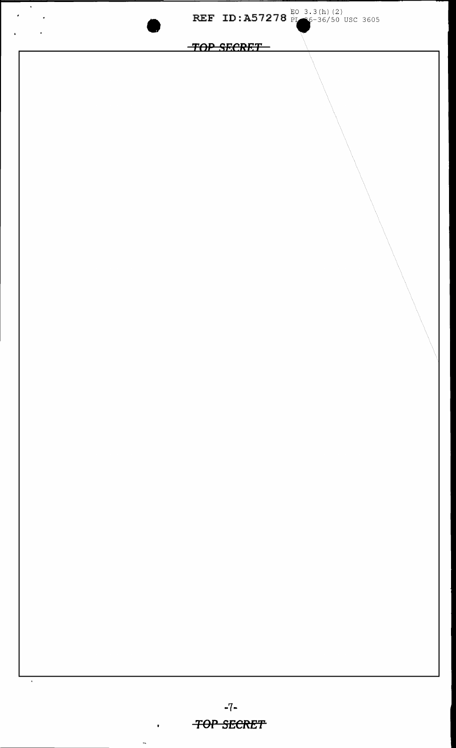

 $\mathbf{r} = \mathbf{r} \times \mathbf{r}$ 

 $\frac{1}{2}$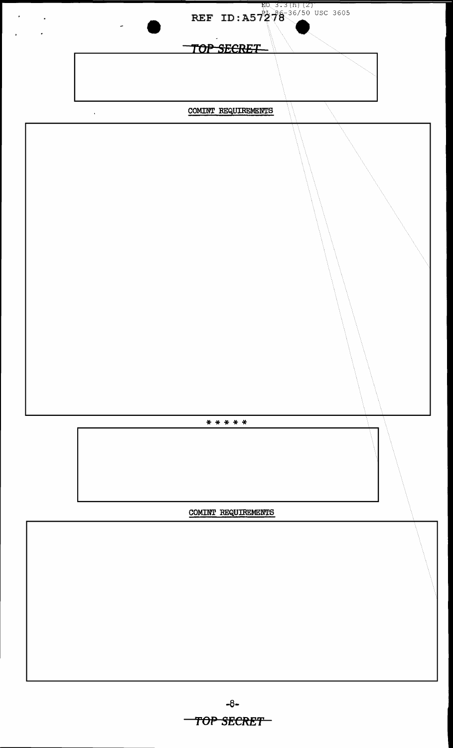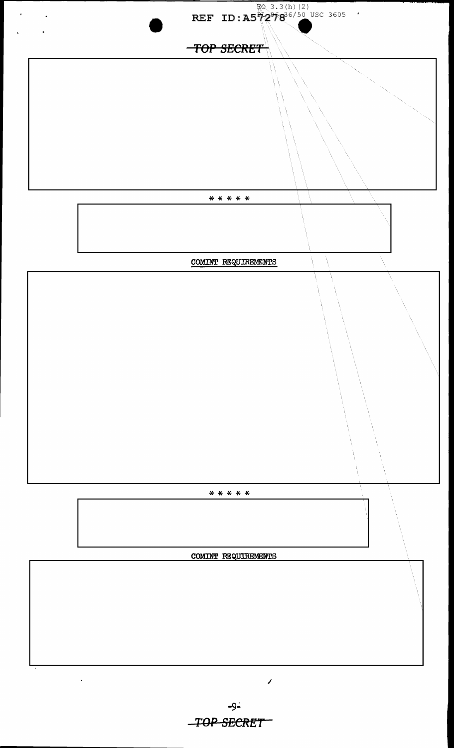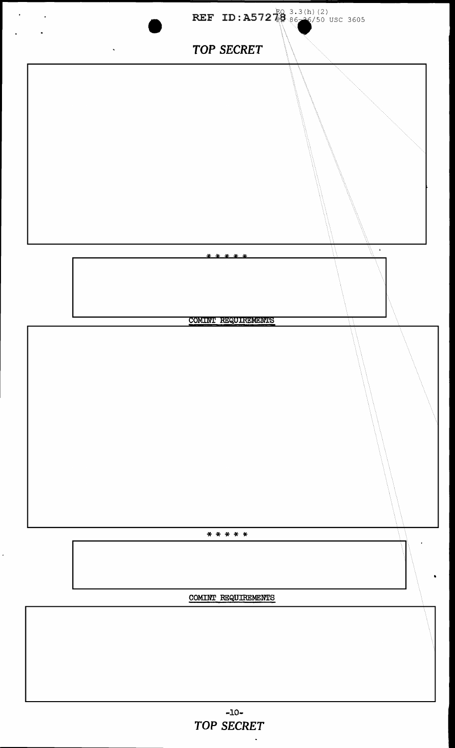

 $\hat{\bullet}$ 

 $\ddot{\phantom{0}}$ 

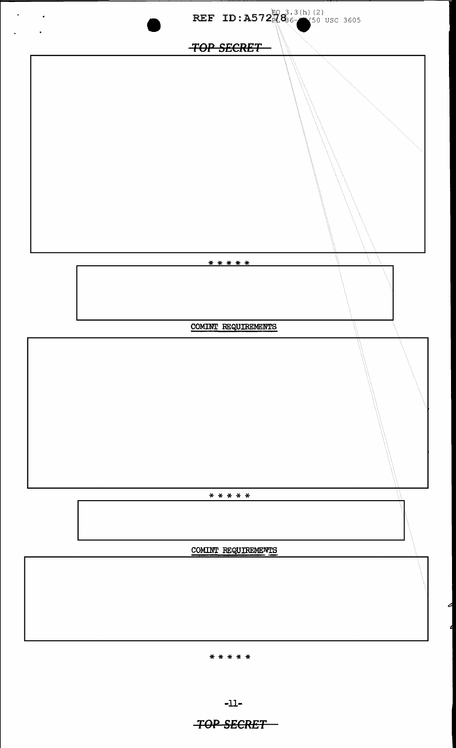

 $-11-$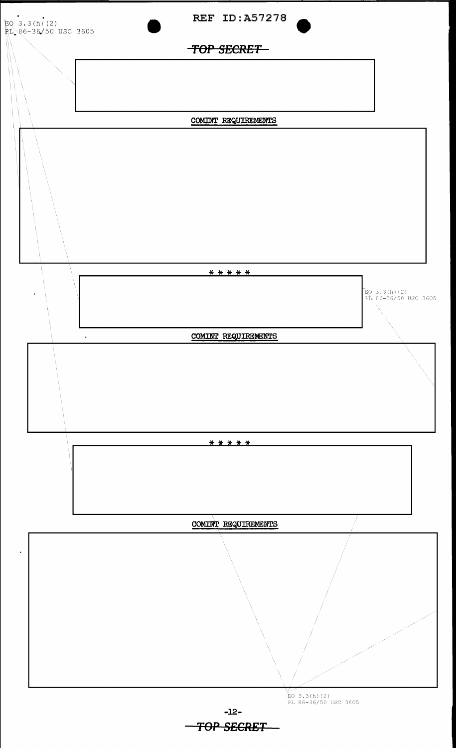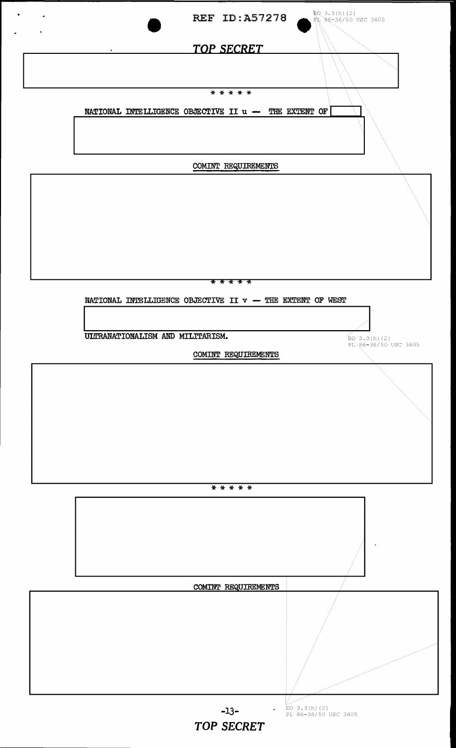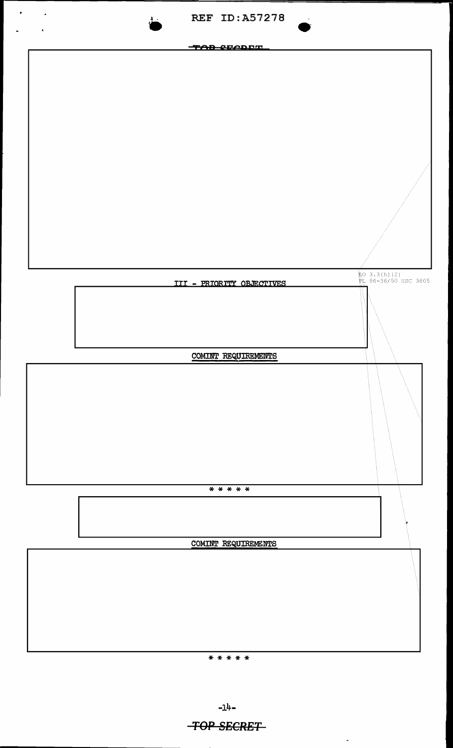

 $-1<sup>1</sup>+$ 

 $\mathbf{r}$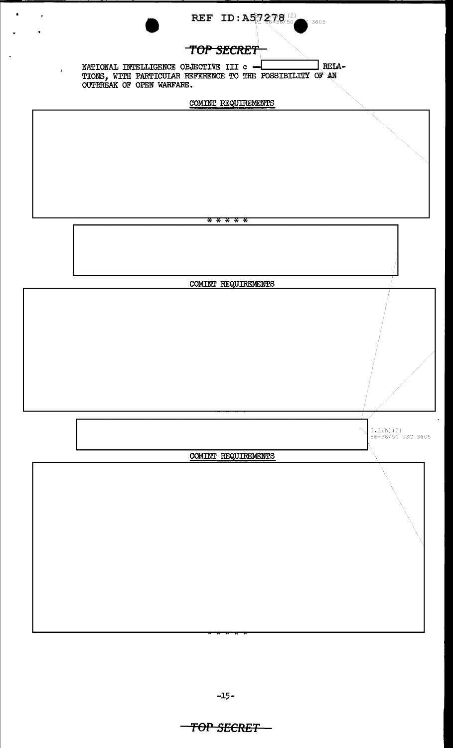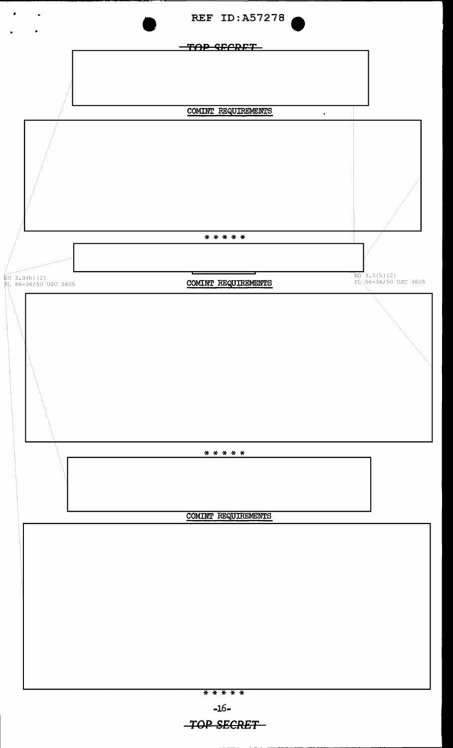